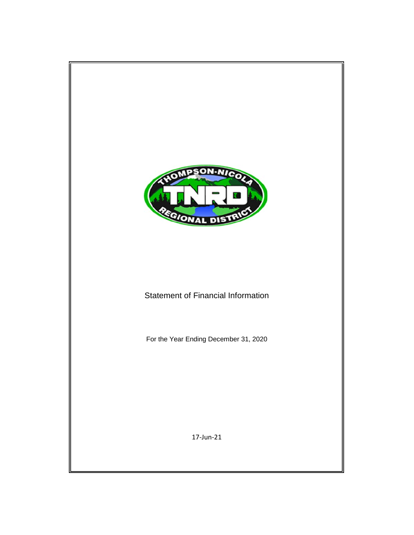

# Statement of Financial Information

For the Year Ending December 31, 2020

17-Jun-21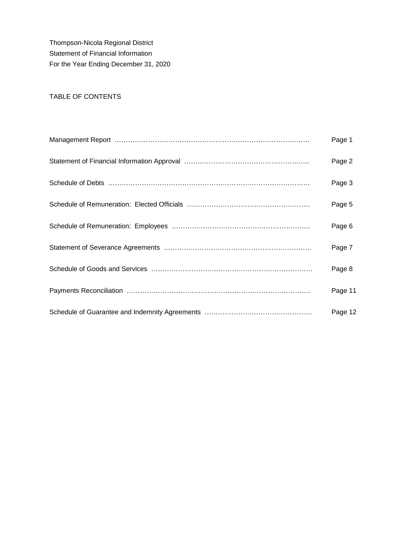Thompson-Nicola Regional District Statement of Financial Information For the Year Ending December 31, 2020

# TABLE OF CONTENTS

| Page 1  |
|---------|
| Page 2  |
| Page 3  |
| Page 5  |
| Page 6  |
| Page 7  |
| Page 8  |
| Page 11 |
| Page 12 |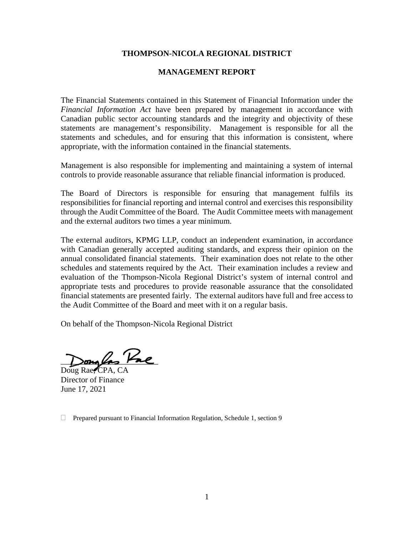### **THOMPSON-NICOLA REGIONAL DISTRICT**

#### **MANAGEMENT REPORT**

The Financial Statements contained in this Statement of Financial Information under the *Financial Information Act* have been prepared by management in accordance with Canadian public sector accounting standards and the integrity and objectivity of these statements are management's responsibility. Management is responsible for all the statements and schedules, and for ensuring that this information is consistent, where appropriate, with the information contained in the financial statements.

Management is also responsible for implementing and maintaining a system of internal controls to provide reasonable assurance that reliable financial information is produced.

The Board of Directors is responsible for ensuring that management fulfils its responsibilities for financial reporting and internal control and exercises this responsibility through the Audit Committee of the Board. The Audit Committee meets with management and the external auditors two times a year minimum.

The external auditors, KPMG LLP, conduct an independent examination, in accordance with Canadian generally accepted auditing standards, and express their opinion on the annual consolidated financial statements. Their examination does not relate to the other schedules and statements required by the Act. Their examination includes a review and evaluation of the Thompson-Nicola Regional District's system of internal control and appropriate tests and procedures to provide reasonable assurance that the consolidated financial statements are presented fairly. The external auditors have full and free access to the Audit Committee of the Board and meet with it on a regular basis.

On behalf of the Thompson-Nicola Regional District

 $\sum_{\sigma}$ 

Doug Rae, CPA, CA Director of Finance June 17, 2021

 $\Box$  Prepared pursuant to Financial Information Regulation, Schedule 1, section 9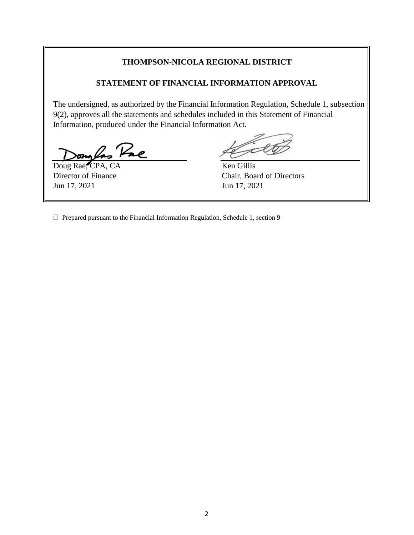## **THOMPSON-NICOLA REGIONAL DISTRICT**

#### **STATEMENT OF FINANCIAL INFORMATION APPROVAL**

The undersigned, as authorized by the Financial Information Regulation, Schedule 1, subsection 9(2), approves all the statements and schedules included in this Statement of Financial Information, produced under the Financial Information Act.

Pre

Doug Rae, CPA, CA Ken Gillis Jun 17, 2021 Jun 17, 2021

Director of Finance Chair, Board of Directors

 $\Box$  Prepared pursuant to the Financial Information Regulation, Schedule 1, section 9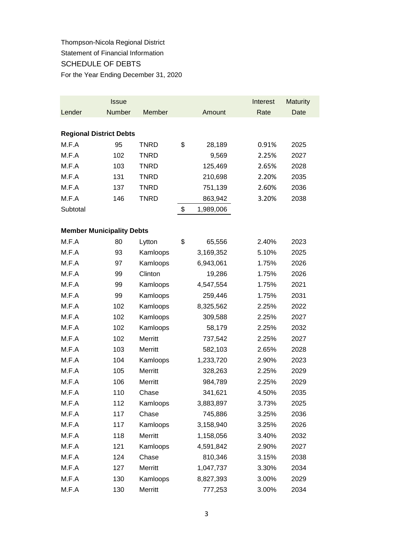Thompson-Nicola Regional District Statement of Financial Information SCHEDULE OF DEBTS For the Year Ending December 31, 2020

|                                  | <b>Issue</b> |             |                 | Interest | <b>Maturity</b> |
|----------------------------------|--------------|-------------|-----------------|----------|-----------------|
| Lender                           | Number       | Member      | Amount          | Rate     | Date            |
|                                  |              |             |                 |          |                 |
| <b>Regional District Debts</b>   |              |             |                 |          |                 |
| M.F.A                            | 95           | <b>TNRD</b> | \$<br>28,189    | 0.91%    | 2025            |
| M.F.A                            | 102          | <b>TNRD</b> | 9,569           | 2.25%    | 2027            |
| M.F.A                            | 103          | <b>TNRD</b> | 125,469         | 2.65%    | 2028            |
| M.F.A                            | 131          | <b>TNRD</b> | 210,698         | 2.20%    | 2035            |
| M.F.A                            | 137          | <b>TNRD</b> | 751,139         | 2.60%    | 2036            |
| M.F.A                            | 146          | <b>TNRD</b> | 863,942         | 3.20%    | 2038            |
| Subtotal                         |              |             | \$<br>1,989,006 |          |                 |
|                                  |              |             |                 |          |                 |
| <b>Member Municipality Debts</b> |              |             |                 |          |                 |
| M.F.A                            | 80           | Lytton      | \$<br>65,556    | 2.40%    | 2023            |
| M.F.A                            | 93           | Kamloops    | 3,169,352       | 5.10%    | 2025            |
| M.F.A                            | 97           | Kamloops    | 6,943,061       | 1.75%    | 2026            |
| M.F.A                            | 99           | Clinton     | 19,286          | 1.75%    | 2026            |
| M.F.A                            | 99           | Kamloops    | 4,547,554       | 1.75%    | 2021            |
| M.F.A                            | 99           | Kamloops    | 259,446         | 1.75%    | 2031            |
| M.F.A                            | 102          | Kamloops    | 8,325,562       | 2.25%    | 2022            |
| M.F.A                            | 102          | Kamloops    | 309,588         | 2.25%    | 2027            |
| M.F.A                            | 102          | Kamloops    | 58,179          | 2.25%    | 2032            |
| M.F.A                            | 102          | Merritt     | 737,542         | 2.25%    | 2027            |
| M.F.A                            | 103          | Merritt     | 582,103         | 2.65%    | 2028            |
| M.F.A                            | 104          | Kamloops    | 1,233,720       | 2.90%    | 2023            |
| M.F.A                            | 105          | Merritt     | 328,263         | 2.25%    | 2029            |
| M.F.A                            | 106          | Merritt     | 984,789         | 2.25%    | 2029            |
| M.F.A                            | 110          | Chase       | 341,621         | 4.50%    | 2035            |
| M.F.A                            | 112          | Kamloops    | 3,883,897       | 3.73%    | 2025            |
| M.F.A                            | 117          | Chase       | 745,886         | 3.25%    | 2036            |
| M.F.A                            | 117          | Kamloops    | 3,158,940       | 3.25%    | 2026            |
| M.F.A                            | 118          | Merritt     | 1,158,056       | 3.40%    | 2032            |
| M.F.A                            | 121          | Kamloops    | 4,591,842       | 2.90%    | 2027            |
| M.F.A                            | 124          | Chase       | 810,346         | 3.15%    | 2038            |
| M.F.A                            | 127          | Merritt     | 1,047,737       | 3.30%    | 2034            |
| M.F.A                            | 130          | Kamloops    | 8,827,393       | 3.00%    | 2029            |
| M.F.A                            | 130          | Merritt     | 777,253         | 3.00%    | 2034            |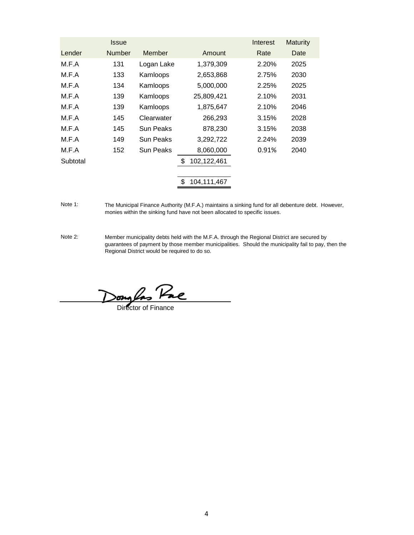|     |               |         | Interest                                                                                                                         | <b>Maturity</b> |
|-----|---------------|---------|----------------------------------------------------------------------------------------------------------------------------------|-----------------|
|     | Member        |         | Rate                                                                                                                             | Date            |
| 131 | Logan Lake    |         | 2.20%                                                                                                                            | 2025            |
| 133 | Kamloops      |         | 2.75%                                                                                                                            | 2030            |
| 134 | Kamloops      |         | 2.25%                                                                                                                            | 2025            |
| 139 | Kamloops      |         | 2.10%                                                                                                                            | 2031            |
| 139 | Kamloops      |         | 2.10%                                                                                                                            | 2046            |
| 145 | Clearwater    | 266,293 | 3.15%                                                                                                                            | 2028            |
| 145 | Sun Peaks     | 878,230 | 3.15%                                                                                                                            | 2038            |
| 149 | Sun Peaks     |         | 2.24%                                                                                                                            | 2039            |
| 152 | Sun Peaks     |         | 0.91%                                                                                                                            | 2040            |
|     |               | \$      |                                                                                                                                  |                 |
|     |               |         |                                                                                                                                  |                 |
|     | <b>Number</b> |         | Amount<br>1,379,309<br>2,653,868<br>5,000,000<br>25,809,421<br>1,875,647<br>3,292,722<br>8,060,000<br>102,122,461<br>104,111,467 |                 |

Note 1: The Municipal Finance Authority (M.F.A.) maintains a sinking fund for all debenture debt. However, monies within the sinking fund have not been allocated to specific issues.

Note 2: Member municipality debts held with the M.F.A. through the Regional District are secured by guarantees of payment by those member municipalities. Should the municipality fail to pay, then the Regional District would be required to do so.

Dong *Pae*<br>Director of Finance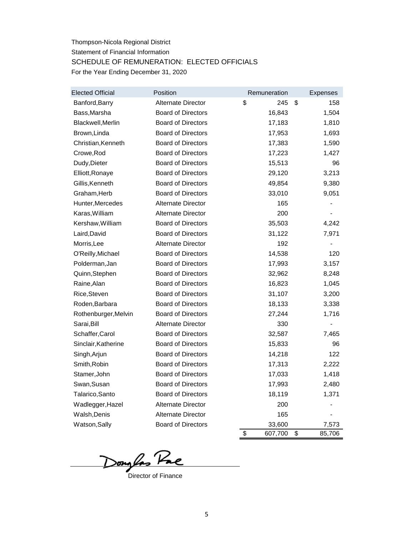# Thompson-Nicola Regional District Statement of Financial Information SCHEDULE OF REMUNERATION: ELECTED OFFICIALS For the Year Ending December 31, 2020

| <b>Elected Official</b> | Position                  | Remuneration  | <b>Expenses</b> |
|-------------------------|---------------------------|---------------|-----------------|
| Banford, Barry          | Alternate Director        | \$<br>245     | \$<br>158       |
| Bass, Marsha            | <b>Board of Directors</b> | 16,843        | 1,504           |
| Blackwell, Merlin       | <b>Board of Directors</b> | 17,183        | 1,810           |
| Brown, Linda            | <b>Board of Directors</b> | 17,953        | 1,693           |
| Christian, Kenneth      | <b>Board of Directors</b> | 17,383        | 1,590           |
| Crowe, Rod              | <b>Board of Directors</b> | 17,223        | 1,427           |
| Dudy, Dieter            | <b>Board of Directors</b> | 15,513        | 96              |
| Elliott, Ronaye         | <b>Board of Directors</b> | 29,120        | 3,213           |
| Gillis, Kenneth         | <b>Board of Directors</b> | 49,854        | 9,380           |
| Graham, Herb            | <b>Board of Directors</b> | 33,010        | 9,051           |
| Hunter, Mercedes        | Alternate Director        | 165           |                 |
| Karas, William          | Alternate Director        | 200           |                 |
| Kershaw, William        | <b>Board of Directors</b> | 35,503        | 4,242           |
| Laird, David            | <b>Board of Directors</b> | 31,122        | 7,971           |
| Morris, Lee             | <b>Alternate Director</b> | 192           |                 |
| O'Reilly, Michael       | <b>Board of Directors</b> | 14,538        | 120             |
| Polderman, Jan          | <b>Board of Directors</b> | 17,993        | 3,157           |
| Quinn, Stephen          | <b>Board of Directors</b> | 32,962        | 8,248           |
| Raine, Alan             | <b>Board of Directors</b> | 16,823        | 1,045           |
| Rice, Steven            | <b>Board of Directors</b> | 31,107        | 3,200           |
| Roden, Barbara          | <b>Board of Directors</b> | 18,133        | 3,338           |
| Rothenburger, Melvin    | <b>Board of Directors</b> | 27,244        | 1,716           |
| Sarai, Bill             | Alternate Director        | 330           | -               |
| Schaffer, Carol         | <b>Board of Directors</b> | 32,587        | 7,465           |
| Sinclair, Katherine     | <b>Board of Directors</b> | 15,833        | 96              |
| Singh, Arjun            | <b>Board of Directors</b> | 14,218        | 122             |
| Smith, Robin            | <b>Board of Directors</b> | 17,313        | 2,222           |
| Stamer, John            | <b>Board of Directors</b> | 17,033        | 1,418           |
| Swan, Susan             | <b>Board of Directors</b> | 17,993        | 2,480           |
| Talarico, Santo         | <b>Board of Directors</b> | 18,119        | 1,371           |
| Wadlegger, Hazel        | Alternate Director        | 200           |                 |
| Walsh, Denis            | Alternate Director        | 165           |                 |
| Watson, Sally           | <b>Board of Directors</b> | 33,600        | 7,573           |
|                         |                           | \$<br>607,700 | \$<br>85,706    |

Donglas Pac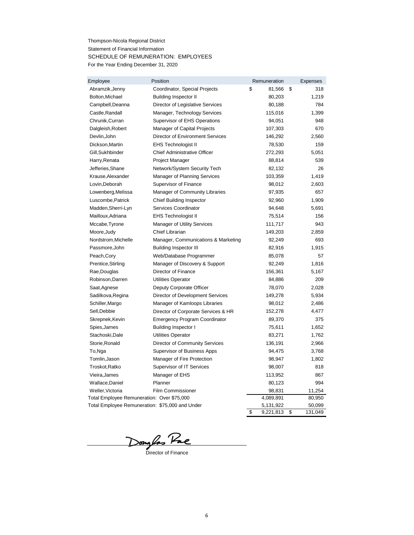Thompson-Nicola Regional District Statement of Financial Information SCHEDULE OF REMUNERATION: EMPLOYEES For the Year Ending December 31, 2020

| Employee                                        | Position                                | Remuneration    | <b>Expenses</b> |
|-------------------------------------------------|-----------------------------------------|-----------------|-----------------|
| Abramzik, Jenny                                 | Coordinator, Special Projects           | \$<br>81,566    | \$<br>318       |
| Bolton, Michael                                 | <b>Building Inspector II</b>            | 80,203          | 1,219           |
| Campbell, Deanna                                | Director of Legislative Services        | 80,188          | 784             |
| Castle, Randall                                 | Manager, Technology Services            | 115,016         | 1,399           |
| Chrunik, Curran                                 | <b>Supervisor of EHS Operations</b>     | 94,051          | 948             |
| Dalgleish, Robert                               | Manager of Capital Projects             | 107,303         | 670             |
| Devlin, John                                    | <b>Director of Environment Services</b> | 146,292         | 2,560           |
| Dickson, Martin                                 | <b>EHS Technologist II</b>              | 78,530          | 159             |
| Gill, Sukhbinder                                | <b>Chief Administrative Officer</b>     | 272,293         | 5,051           |
| Harry, Renata                                   | Project Manager                         | 88,814          | 539             |
| Jefferies, Shane                                | Network/System Security Tech            | 82,132          | 26              |
| Krause, Alexander                               | <b>Manager of Planning Services</b>     | 103,359         | 1,419           |
| Lovin, Deborah                                  | Supervisor of Finance                   | 98,012          | 2,603           |
| Lowenberg, Melissa                              | Manager of Community Libraries          | 97,935          | 657             |
| Luscombe, Patrick                               | <b>Chief Building Inspector</b>         | 92,960          | 1,909           |
| Madden, Sherri-Lyn                              | Services Coordinator                    | 94,648          | 5,691           |
| Mailloux, Adriana                               | <b>EHS Technologist II</b>              | 75,514          | 156             |
| Mccabe, Tyrone                                  | <b>Manager of Utility Services</b>      | 111,717         | 943             |
| Moore, Judy                                     | Chief Librarian                         | 149,203         | 2,859           |
| Nordstrom, Michelle                             | Manager, Communications & Marketing     | 92,249          | 693             |
| Passmore, John                                  | <b>Building Inspector III</b>           | 82,916          | 1,915           |
| Peach, Cory                                     | Web/Database Programmer                 | 85,078          | 57              |
| Prentice, Stirling                              | Manager of Discovery & Support          | 92,249          | 1,816           |
| Rae, Douglas                                    | <b>Director of Finance</b>              | 156,361         | 5,167           |
| Robinson, Darren                                | <b>Utilities Operator</b>               | 84,886          | 209             |
| Saat, Agnese                                    | Deputy Corporate Officer                | 78,070          | 2,028           |
| Sadilkova, Regina                               | <b>Director of Development Services</b> | 149,278         | 5,934           |
| Schiller, Margo                                 | Manager of Kamloops Libraries           | 98,012          | 2,486           |
| Sell, Debbie                                    | Director of Corporate Services & HR     | 152,278         | 4,477           |
| Skrepnek, Kevin                                 | <b>Emergency Program Coordinator</b>    | 89,370          | 375             |
| Spies, James                                    | <b>Building Inspector I</b>             | 75,611          | 1,652           |
| Stachoski, Dale                                 | <b>Utilities Operator</b>               | 83,271          | 1,762           |
| Storie, Ronald                                  | <b>Director of Community Services</b>   | 136,191         | 2,966           |
| To,Nga                                          | <b>Supervisor of Business Apps</b>      | 94,475          | 3,768           |
| Tomlin, Jason                                   | Manager of Fire Protection              | 98,947          | 1,802           |
| Troskot, Ratko                                  | Supervisor of IT Services               | 98,007          | 818             |
| Vieira, James                                   | Manager of EHS                          | 113,952         | 867             |
| Wallace, Daniel                                 | Planner                                 | 80,123          | 994             |
| Weller, Victoria                                | <b>Film Commissioner</b>                | 98,831          | 11,254          |
| Total Employee Remuneration: Over \$75,000      |                                         | 4,089,891       | 80,950          |
| Total Employee Remuneration: \$75,000 and Under |                                         | 5,131,922       | 50,099          |
|                                                 |                                         | \$<br>9,221,813 | \$<br>131,049   |

Donglas Pac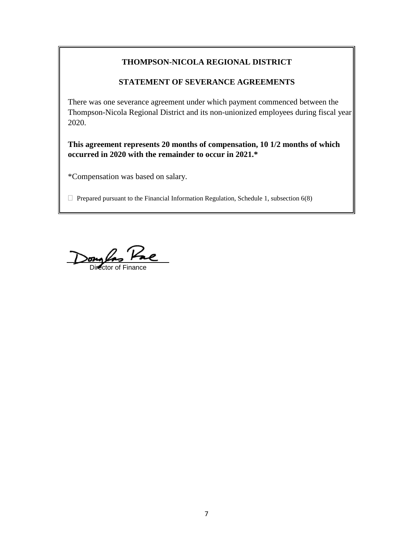# **THOMPSON-NICOLA REGIONAL DISTRICT**

## **STATEMENT OF SEVERANCE AGREEMENTS**

There was one severance agreement under which payment commenced between the Thompson-Nicola Regional District and its non-unionized employees during fiscal year 2020.

**This agreement represents 20 months of compensation, 10 1/2 months of which occurred in 2020 with the remainder to occur in 2021.\***

\*Compensation was based on salary.

 $\Box$  Prepared pursuant to the Financial Information Regulation, Schedule 1, subsection 6(8)

Donglas Pae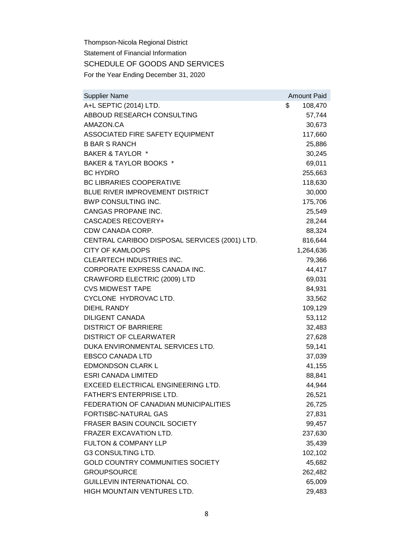Thompson-Nicola Regional District Statement of Financial Information SCHEDULE OF GOODS AND SERVICES For the Year Ending December 31, 2020

| <b>Supplier Name</b>                          | <b>Amount Paid</b> |
|-----------------------------------------------|--------------------|
| A+L SEPTIC (2014) LTD.                        | \$<br>108,470      |
| ABBOUD RESEARCH CONSULTING                    | 57,744             |
| AMAZON.CA                                     | 30,673             |
| ASSOCIATED FIRE SAFETY EQUIPMENT              | 117,660            |
| <b>B BAR S RANCH</b>                          | 25,886             |
| <b>BAKER &amp; TAYLOR *</b>                   | 30,245             |
| BAKER & TAYLOR BOOKS *                        | 69,011             |
| <b>BC HYDRO</b>                               | 255,663            |
| <b>BC LIBRARIES COOPERATIVE</b>               | 118,630            |
| BLUE RIVER IMPROVEMENT DISTRICT               | 30,000             |
| BWP CONSULTING INC.                           | 175,706            |
| CANGAS PROPANE INC.                           | 25,549             |
| <b>CASCADES RECOVERY+</b>                     | 28,244             |
| CDW CANADA CORP.                              | 88,324             |
| CENTRAL CARIBOO DISPOSAL SERVICES (2001) LTD. | 816,644            |
| <b>CITY OF KAMLOOPS</b>                       | 1,264,636          |
| <b>CLEARTECH INDUSTRIES INC.</b>              | 79,366             |
| CORPORATE EXPRESS CANADA INC.                 | 44,417             |
| CRAWFORD ELECTRIC (2009) LTD                  | 69,031             |
| <b>CVS MIDWEST TAPE</b>                       | 84,931             |
| CYCLONE HYDROVAC LTD.                         | 33,562             |
| <b>DIEHL RANDY</b>                            | 109,129            |
| <b>DILIGENT CANADA</b>                        | 53,112             |
| <b>DISTRICT OF BARRIERE</b>                   | 32,483             |
| <b>DISTRICT OF CLEARWATER</b>                 | 27,628             |
| DUKA ENVIRONMENTAL SERVICES LTD.              | 59,141             |
| <b>EBSCO CANADA LTD</b>                       | 37,039             |
| <b>EDMONDSON CLARK L</b>                      | 41,155             |
| <b>ESRI CANADA LIMITED</b>                    | 88,841             |
| <b>EXCEED ELECTRICAL ENGINEERING LTD.</b>     | 44,944             |
| FATHER'S ENTERPRISE LTD                       | 26,521             |
| FEDERATION OF CANADIAN MUNICIPALITIES         | 26,725             |
| <b>FORTISBC-NATURAL GAS</b>                   | 27,831             |
| FRASER BASIN COUNCIL SOCIETY                  | 99,457             |
| <b>FRAZER EXCAVATION LTD.</b>                 | 237,630            |
| <b>FULTON &amp; COMPANY LLP</b>               | 35,439             |
| <b>G3 CONSULTING LTD.</b>                     | 102,102            |
| GOLD COUNTRY COMMUNITIES SOCIETY              | 45,682             |
| <b>GROUPSOURCE</b>                            | 262,482            |
| GUILLEVIN INTERNATIONAL CO.                   | 65,009             |
| HIGH MOUNTAIN VENTURES LTD.                   | 29,483             |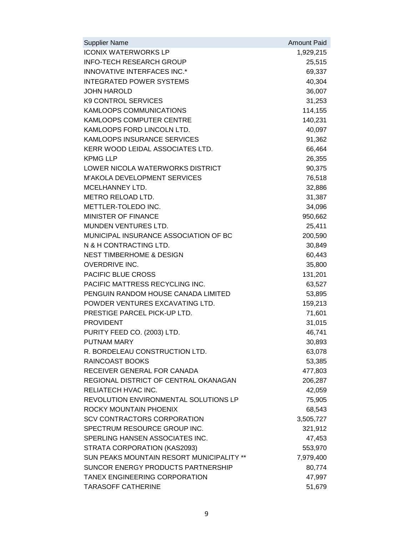| <b>Supplier Name</b>                      | <b>Amount Paid</b> |
|-------------------------------------------|--------------------|
| <b>ICONIX WATERWORKS LP</b>               | 1,929,215          |
| <b>INFO-TECH RESEARCH GROUP</b>           | 25,515             |
| INNOVATIVE INTERFACES INC.*               | 69,337             |
| <b>INTEGRATED POWER SYSTEMS</b>           | 40,304             |
| <b>JOHN HAROLD</b>                        | 36,007             |
| <b>K9 CONTROL SERVICES</b>                | 31,253             |
| KAMLOOPS COMMUNICATIONS                   | 114,155            |
| KAMLOOPS COMPUTER CENTRE                  | 140,231            |
| KAMLOOPS FORD LINCOLN LTD.                | 40,097             |
| KAMLOOPS INSURANCE SERVICES               | 91,362             |
| KERR WOOD LEIDAL ASSOCIATES LTD.          | 66,464             |
| <b>KPMG LLP</b>                           | 26,355             |
| LOWER NICOLA WATERWORKS DISTRICT          | 90,375             |
| M'AKOLA DEVELOPMENT SERVICES              | 76,518             |
| <b>MCELHANNEY LTD.</b>                    | 32,886             |
| METRO RELOAD LTD.                         | 31,387             |
| METTLER-TOLEDO INC.                       | 34,096             |
| MINISTER OF FINANCE                       | 950,662            |
| MUNDEN VENTURES LTD.                      | 25,411             |
| MUNICIPAL INSURANCE ASSOCIATION OF BC     | 200,590            |
| N & H CONTRACTING LTD.                    | 30,849             |
| <b>NEST TIMBERHOME &amp; DESIGN</b>       | 60,443             |
| <b>OVERDRIVE INC.</b>                     | 35,800             |
| PACIFIC BLUE CROSS                        | 131,201            |
| PACIFIC MATTRESS RECYCLING INC.           | 63,527             |
| PENGUIN RANDOM HOUSE CANADA LIMITED       | 53,895             |
| POWDER VENTURES EXCAVATING LTD.           | 159,213            |
| PRESTIGE PARCEL PICK-UP LTD.              | 71,601             |
| <b>PROVIDENT</b>                          | 31,015             |
| PURITY FEED CO. (2003) LTD.               | 46,741             |
| PUTNAM MARY                               | 30,893             |
| R. BORDELEAU CONSTRUCTION LTD.            | 63,078             |
| RAINCOAST BOOKS                           | 53,385             |
| RECEIVER GENERAL FOR CANADA               | 477,803            |
| REGIONAL DISTRICT OF CENTRAL OKANAGAN     | 206,287            |
| RELIATECH HVAC INC.                       | 42,059             |
| REVOLUTION ENVIRONMENTAL SOLUTIONS LP     | 75,905             |
| ROCKY MOUNTAIN PHOENIX                    | 68,543             |
| <b>SCV CONTRACTORS CORPORATION</b>        | 3,505,727          |
| SPECTRUM RESOURCE GROUP INC.              | 321,912            |
| SPERLING HANSEN ASSOCIATES INC.           | 47,453             |
| STRATA CORPORATION (KAS2093)              | 553,970            |
| SUN PEAKS MOUNTAIN RESORT MUNICIPALITY ** | 7,979,400          |
| SUNCOR ENERGY PRODUCTS PARTNERSHIP        | 80,774             |
| TANEX ENGINEERING CORPORATION             | 47,997             |
| <b>TARASOFF CATHERINE</b>                 | 51,679             |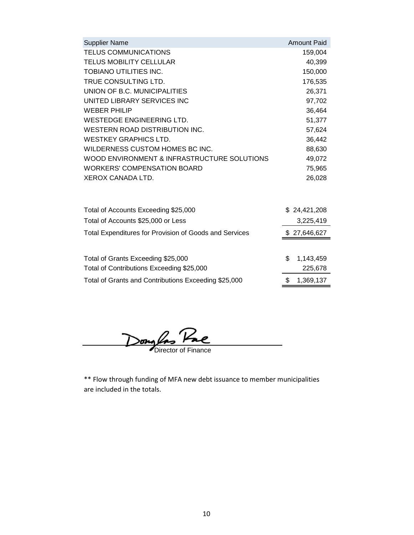| <b>Supplier Name</b>                                          | <b>Amount Paid</b> |
|---------------------------------------------------------------|--------------------|
| <b>TELUS COMMUNICATIONS</b>                                   | 159,004            |
| TELUS MOBILITY CELLULAR                                       | 40,399             |
| <b>TOBIANO UTILITIES INC.</b>                                 | 150,000            |
| TRUE CONSULTING LTD.                                          | 176,535            |
| UNION OF B.C. MUNICIPALITIES                                  | 26,371             |
| UNITED LIBRARY SERVICES INC                                   | 97,702             |
| <b>WEBER PHILIP</b>                                           | 36,464             |
| <b>WESTEDGE ENGINEERING LTD.</b>                              | 51,377             |
| WESTERN ROAD DISTRIBUTION INC.                                | 57,624             |
| <b>WESTKEY GRAPHICS LTD.</b>                                  | 36,442             |
| WILDERNESS CUSTOM HOMES BC INC.                               | 88,630             |
| WOOD ENVIRONMENT & INFRASTRUCTURE SOLUTIONS                   | 49,072             |
| <b>WORKERS' COMPENSATION BOARD</b>                            | 75,965             |
| XEROX CANADA LTD.                                             | 26,028             |
|                                                               |                    |
| Total of Accounts Exceeding \$25,000                          | \$24,421,208       |
| Total of Accounts \$25,000 or Less                            | 3,225,419          |
| <b>Total Expenditures for Provision of Goods and Services</b> | \$27,646,627       |
|                                                               |                    |
| Total of Grants Exceeding \$25,000                            | \$<br>1,143,459    |
| Total of Contributions Exceeding \$25,000                     | 225,678            |
| Total of Grants and Contributions Exceeding \$25,000          | \$<br>1,369,137    |

Dong las Pae

\*\* Flow through funding of MFA new debt issuance to member municipalities are included in the totals.